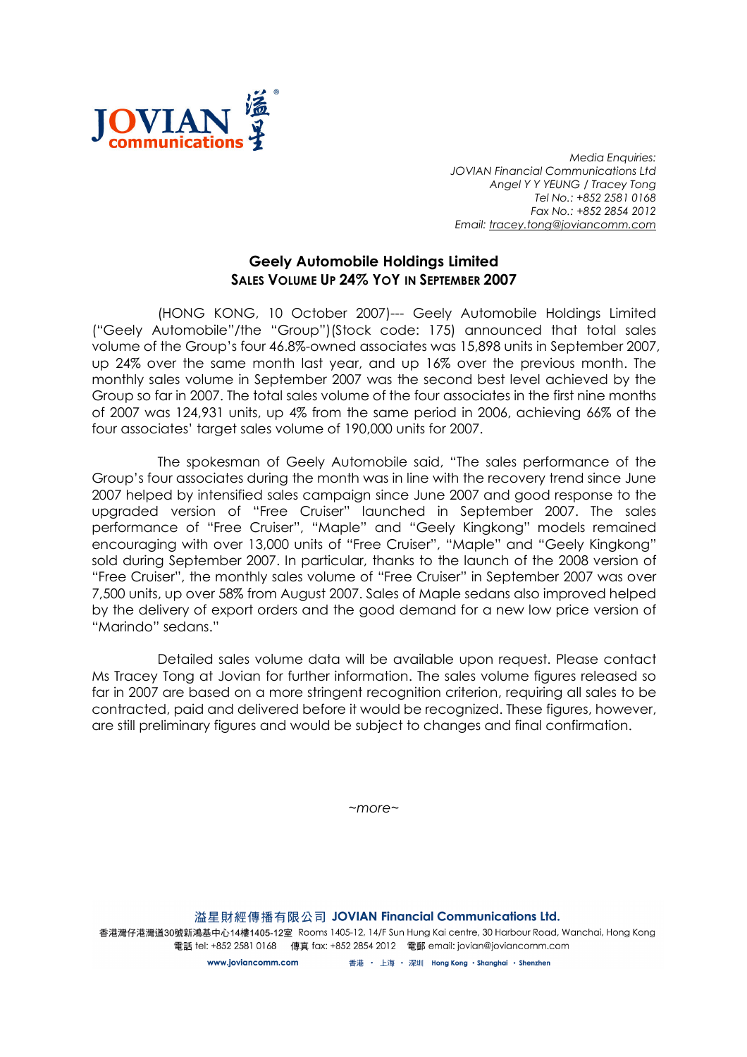

Media Enquiries: JOVIAN Financial Communications Ltd Angel Y Y YEUNG / Tracey Tong Tel No.: +852 2581 0168 Fax No.: +852 2854 2012 Email: tracey.tong@joviancomm.com

## Geely Automobile Holdings Limited SALES VOLUME UP 24% YOY IN SEPTEMBER 2007

(HONG KONG, 10 October 2007)--- Geely Automobile Holdings Limited ("Geely Automobile"/the "Group")(Stock code: 175) announced that total sales volume of the Group's four 46.8%-owned associates was 15,898 units in September 2007, up 24% over the same month last year, and up 16% over the previous month. The monthly sales volume in September 2007 was the second best level achieved by the Group so far in 2007. The total sales volume of the four associates in the first nine months of 2007 was 124,931 units, up 4% from the same period in 2006, achieving 66% of the four associates' target sales volume of 190,000 units for 2007.

The spokesman of Geely Automobile said, "The sales performance of the Group's four associates during the month was in line with the recovery trend since June 2007 helped by intensified sales campaign since June 2007 and good response to the upgraded version of "Free Cruiser" launched in September 2007. The sales performance of "Free Cruiser", "Maple" and "Geely Kingkong" models remained encouraging with over 13,000 units of "Free Cruiser", "Maple" and "Geely Kingkong" sold during September 2007. In particular, thanks to the launch of the 2008 version of "Free Cruiser", the monthly sales volume of "Free Cruiser" in September 2007 was over 7,500 units, up over 58% from August 2007. Sales of Maple sedans also improved helped by the delivery of export orders and the good demand for a new low price version of "Marindo" sedans."

Detailed sales volume data will be available upon request. Please contact Ms Tracey Tong at Jovian for further information. The sales volume figures released so far in 2007 are based on a more stringent recognition criterion, requiring all sales to be contracted, paid and delivered before it would be recognized. These figures, however, are still preliminary figures and would be subject to changes and final confirmation.

 $~\sim$ more $~\sim$ 

溢星財經傳播有限公司 JOVIAN Financial Communications Ltd. 香港灣仔港灣道30號新鴻基中心14樓1405-12室 Rooms 1405-12, 14/F Sun Hung Kai centre, 30 Harbour Road, Wanchai, Hong Kong 電話 tel: +852 2581 0168 傳真 fax: +852 2854 2012 電郵 email: jovian@joviancomm.com

> 香港 ・ 上海 ・ 深圳 Hong Kong ・Shanghai ・Shenzhen www.ioviancomm.com